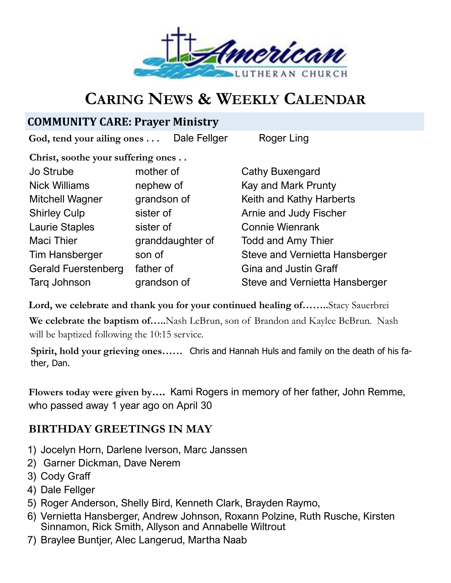

# **CARING NEWS & WEEKLY CALENDAR**

## **COMMUNITY CARE: Prayer Ministry**

God, tend your ailing ones . . . Dale Fellger Roger Ling

**Christ, soothe your suffering ones . .** 

| mother of        |
|------------------|
| nephew of        |
| grandson of      |
| sister of        |
| sister of        |
| granddaughter of |
| son of           |
| father of        |
| grandson of      |
|                  |

Cathy Buxengard Kay and Mark Prunty Keith and Kathy Harberts Arnie and Judy Fischer **Connie Wienrank** Todd and Amy Thier Steve and Vernietta Hansberger Gina and Justin Graff Steve and Vernietta Hansberger

**Lord, we celebrate and thank you for your continued healing of……..**Stacy Sauerbrei **We celebrate the baptism of…..**Nash LeBrun, son of Brandon and Kaylee BeBrun. Nash will be baptized following the 10:15 service.

**Spirit, hold your grieving ones……** Chris and Hannah Huls and family on the death of his father, Dan.

**Flowers today were given by….** Kami Rogers in memory of her father, John Remme, who passed away 1 year ago on April 30

## **BIRTHDAY GREETINGS IN MAY**

- 1) Jocelyn Horn, Darlene Iverson, Marc Janssen
- 2) Garner Dickman, Dave Nerem
- 3) Cody Graff
- 4) Dale Fellger
- 5) Roger Anderson, Shelly Bird, Kenneth Clark, Brayden Raymo,
- 6) Vernietta Hansberger, Andrew Johnson, Roxann Polzine, Ruth Rusche, Kirsten Sinnamon, Rick Smith, Allyson and Annabelle Wiltrout
- 7) Braylee Buntjer, Alec Langerud, Martha Naab